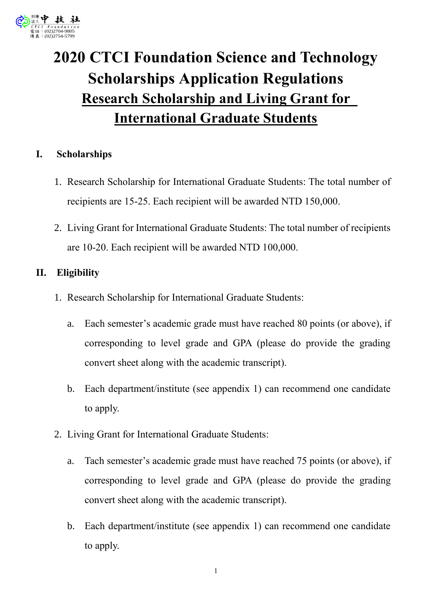

# **2020 CTCI Foundation Science and Technology Scholarships Application Regulations Research Scholarship and Living Grant for International Graduate Students**

## **I. Scholarships**

- 1. Research Scholarship for International Graduate Students: The total number of recipients are 15-25. Each recipient will be awarded NTD 150,000.
- 2. Living Grant for International Graduate Students: The total number of recipients are 10-20. Each recipient will be awarded NTD 100,000.

## **II. Eligibility**

- 1. Research Scholarship for International Graduate Students:
	- a. Each semester's academic grade must have reached 80 points (or above), if corresponding to level grade and GPA (please do provide the grading convert sheet along with the academic transcript).
	- b. Each department/institute (see appendix 1) can recommend one candidate to apply.
- 2. Living Grant for International Graduate Students:
	- a. Tach semester's academic grade must have reached 75 points (or above), if corresponding to level grade and GPA (please do provide the grading convert sheet along with the academic transcript).
	- b. Each department/institute (see appendix 1) can recommend one candidate to apply.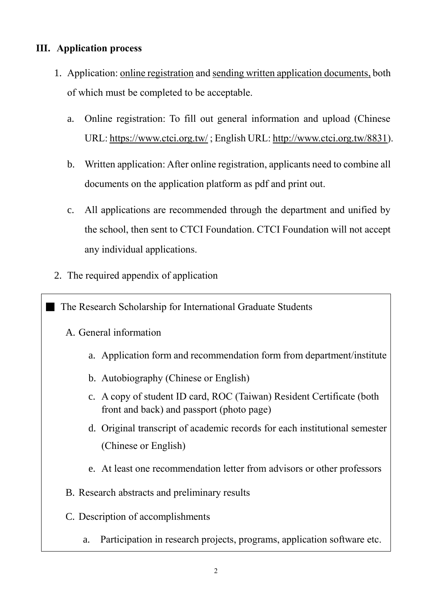# **III. Application process**

- 1. Application: online registration and sending written application documents, both of which must be completed to be acceptable.
	- a. Online registration: To fill out general information and upload (Chinese URL:<https://www.ctci.org.tw/> ; English URL: [http://www.ctci.org.tw/8831\)](http://www.ctci.org.tw/8831).
	- b. Written application: After online registration, applicants need to combine all documents on the application platform as pdf and print out.
	- c. All applications are recommended through the department and unified by the school, then sent to CTCI Foundation. CTCI Foundation will not accept any individual applications.
- 2. The required appendix of application

**The Research Scholarship for International Graduate Students** 

- A. General information
	- a. Application form and recommendation form from department/institute
	- b. Autobiography (Chinese or English)
	- c. A copy of student ID card, ROC (Taiwan) Resident Certificate (both front and back) and passport (photo page)
	- d. Original transcript of academic records for each institutional semester (Chinese or English)
	- e. At least one recommendation letter from advisors or other professors
- B. Research abstracts and preliminary results
- C. Description of accomplishments
	- a. Participation in research projects, programs, application software etc.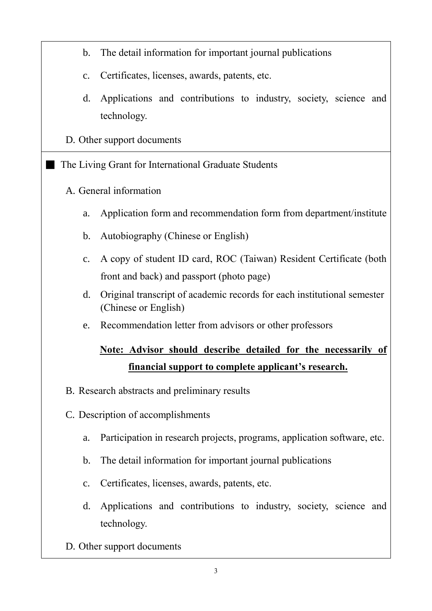- b. The detail information for important journal publications
- c. Certificates, licenses, awards, patents, etc.
- d. Applications and contributions to industry, society, science and technology.
- D. Other support documents
- The Living Grant for International Graduate Students
	- A. General information
		- a. Application form and recommendation form from department/institute
		- b. Autobiography (Chinese or English)
		- c. A copy of student ID card, ROC (Taiwan) Resident Certificate (both front and back) and passport (photo page)
		- d. Original transcript of academic records for each institutional semester (Chinese or English)
		- e. Recommendation letter from advisors or other professors

# **Note: Advisor should describe detailed for the necessarily of financial support to complete applicant's research.**

- B. Research abstracts and preliminary results
- C. Description of accomplishments
	- a. Participation in research projects, programs, application software, etc.
	- b. The detail information for important journal publications
	- c. Certificates, licenses, awards, patents, etc.
	- d. Applications and contributions to industry, society, science and technology.
- D. Other support documents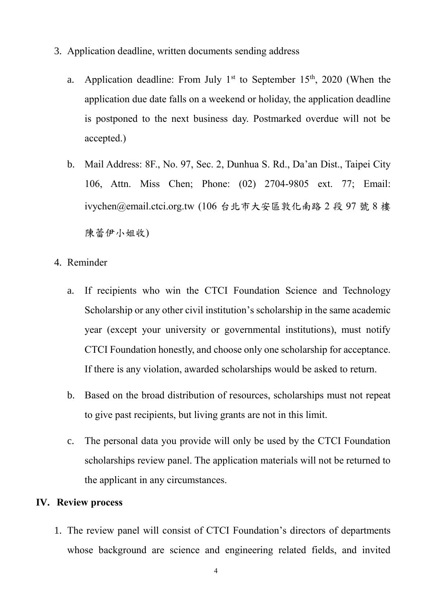- 3. Application deadline, written documents sending address
	- a. Application deadline: From July  $1<sup>st</sup>$  to September 15<sup>th</sup>, 2020 (When the application due date falls on a weekend or holiday, the application deadline is postponed to the next business day. Postmarked overdue will not be accepted.)
	- b. Mail Address: 8F., No. 97, Sec. 2, Dunhua S. Rd., Da'an Dist., Taipei City 106, Attn. Miss Chen; Phone: (02) 2704-9805 ext. 77; Email: ivychen@email.ctci.org.tw (106 台北市大安區敦化南路 2 段 97 號 8 樓 陳蕾伊小姐收)
- 4. Reminder
	- a. If recipients who win the CTCI Foundation Science and Technology Scholarship or any other civil institution's scholarship in the same academic year (except your university or governmental institutions), must notify CTCI Foundation honestly, and choose only one scholarship for acceptance. If there is any violation, awarded scholarships would be asked to return.
	- b. Based on the broad distribution of resources, scholarships must not repeat to give past recipients, but living grants are not in this limit.
	- c. The personal data you provide will only be used by the CTCI Foundation scholarships review panel. The application materials will not be returned to the applicant in any circumstances.

#### **IV. Review process**

1. The review panel will consist of CTCI Foundation's directors of departments whose background are science and engineering related fields, and invited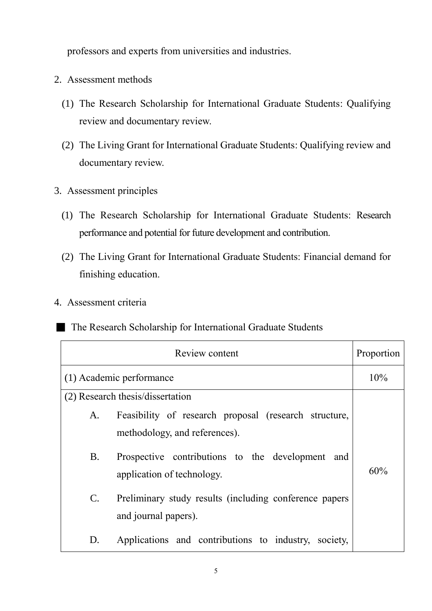professors and experts from universities and industries.

- 2. Assessment methods
	- (1) The Research Scholarship for International Graduate Students: Qualifying review and documentary review.
	- (2) The Living Grant for International Graduate Students: Qualifying review and documentary review.
- 3. Assessment principles
	- (1) The Research Scholarship for International Graduate Students: Research performance and potential for future development and contribution.
	- (2) The Living Grant for International Graduate Students: Financial demand for finishing education.
- 4. Assessment criteria

#### **The Research Scholarship for International Graduate Students**

| Review content           |                                                                                        | Proportion |
|--------------------------|----------------------------------------------------------------------------------------|------------|
| (1) Academic performance |                                                                                        | 10%        |
|                          | (2) Research thesis/dissertation                                                       |            |
| A.                       | Feasibility of research proposal (research structure,<br>methodology, and references). |            |
| <b>B.</b>                | Prospective contributions to the development<br>and<br>application of technology.      | 60%        |
| $\mathbf{C}$ .           | Preliminary study results (including conference papers<br>and journal papers).         |            |
| D.                       | Applications and contributions to industry, society,                                   |            |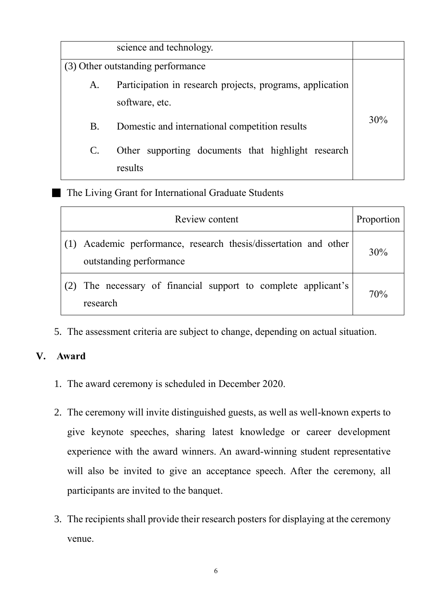| science and technology. |                                                           |     |
|-------------------------|-----------------------------------------------------------|-----|
|                         | (3) Other outstanding performance                         |     |
| A.                      | Participation in research projects, programs, application |     |
|                         | software, etc.                                            |     |
| Β.                      | Domestic and international competition results            | 30% |
|                         | Other supporting documents that highlight research        |     |
|                         | results                                                   |     |

# The Living Grant for International Graduate Students

| Review content                                                                              | Proportion |
|---------------------------------------------------------------------------------------------|------------|
| (1) Academic performance, research thesis/dissertation and other<br>outstanding performance | 30%        |
| (2) The necessary of financial support to complete applicant's<br>research                  | 70%        |

5. The assessment criteria are subject to change, depending on actual situation.

# **V. Award**

- 1. The award ceremony is scheduled in December 2020.
- 2. The ceremony will invite distinguished guests, as well as well-known experts to give keynote speeches, sharing latest knowledge or career development experience with the award winners. An award-winning student representative will also be invited to give an acceptance speech. After the ceremony, all participants are invited to the banquet.
- 3. The recipients shall provide their research posters for displaying at the ceremony venue.